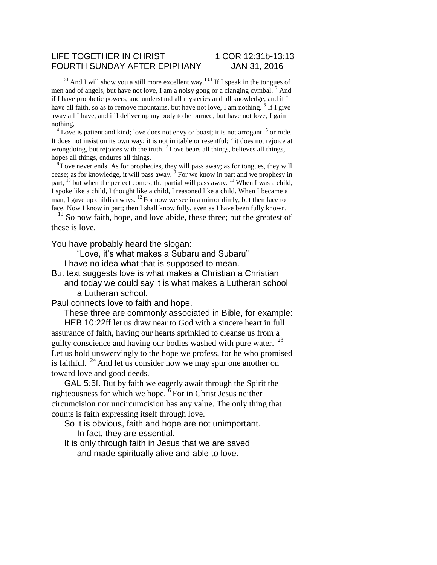## LIFE TOGETHER IN CHRIST 1 COR 12:31b-13:13 FOURTH SUNDAY AFTER EPIPHANY JAN 31, 2016

 $31$  And I will show you a still more excellent way.<sup>13:1</sup> If I speak in the tongues of men and of angels, but have not love, I am a noisy gong or a clanging cymbal. <sup>2</sup> And if I have prophetic powers, and understand all mysteries and all knowledge, and if I have all faith, so as to remove mountains, but have not love, I am nothing.  $3$  If I give away all I have, and if I deliver up my body to be burned, but have not love, I gain nothing.

 $4^4$  Love is patient and kind; love does not envy or boast; it is not arrogant  $5$  or rude. It does not insist on its own way; it is not irritable or resentful; <sup>6</sup> it does not rejoice at wrongdoing, but rejoices with the truth.  $7$  Love bears all things, believes all things, hopes all things, endures all things.

 $8^{\circ}$  Love never ends. As for prophecies, they will pass away; as for tongues, they will cease; as for knowledge, it will pass away.  $9^{\circ}$  For we know in part and we prophesy in part,  $^{10}$  but when the perfect comes, the partial will pass away.  $^{11}$  When I was a child, I spoke like a child, I thought like a child, I reasoned like a child. When I became a man, I gave up childish ways.  $^{12}$  For now we see in a mirror dimly, but then face to face. Now I know in part; then I shall know fully, even as I have been fully known.

 $13$  So now faith, hope, and love abide, these three; but the greatest of these is love.

You have probably heard the slogan:

"Love, it's what makes a Subaru and Subaru"

I have no idea what that is supposed to mean.

But text suggests love is what makes a Christian a Christian and today we could say it is what makes a Lutheran school

a Lutheran school.

Paul connects love to faith and hope.

These three are commonly associated in Bible, for example: HEB 10:22ff let us draw near to God with a sincere heart in full

assurance of faith, having our hearts sprinkled to cleanse us from a guilty conscience and having our bodies washed with pure water. <sup>23</sup> Let us hold unswervingly to the hope we profess, for he who promised is faithful.  $^{24}$  And let us consider how we may spur one another on toward love and good deeds.

GAL 5:5f. But by faith we eagerly await through the Spirit the righteousness for which we hope. <sup>6</sup>For in Christ Jesus neither circumcision nor uncircumcision has any value. The only thing that counts is faith expressing itself through love.

So it is obvious, faith and hope are not unimportant. In fact, they are essential.

It is only through faith in Jesus that we are saved and made spiritually alive and able to love.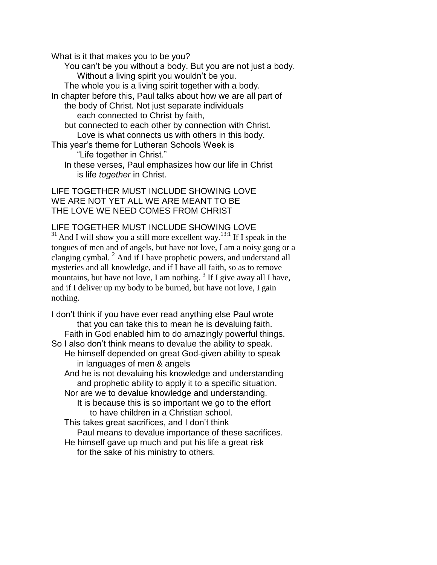What is it that makes you to be you?

You can't be you without a body. But you are not just a body. Without a living spirit you wouldn't be you.

The whole you is a living spirit together with a body.

In chapter before this, Paul talks about how we are all part of the body of Christ. Not just separate individuals

each connected to Christ by faith,

but connected to each other by connection with Christ. Love is what connects us with others in this body.

This year's theme for Lutheran Schools Week is "Life together in Christ."

In these verses, Paul emphasizes how our life in Christ is life *together* in Christ.

LIFE TOGETHER MUST INCLUDE SHOWING LOVE WE ARE NOT YET ALL WE ARE MEANT TO BE THE LOVE WE NEED COMES FROM CHRIST

## LIFE TOGETHER MUST INCLUDE SHOWING LOVE

 $31$  And I will show you a still more excellent way.<sup>13:1</sup> If I speak in the tongues of men and of angels, but have not love, I am a noisy gong or a clanging cymbal. <sup>2</sup> And if I have prophetic powers, and understand all mysteries and all knowledge, and if I have all faith, so as to remove mountains, but have not love, I am nothing.  $3$  If I give away all I have, and if I deliver up my body to be burned, but have not love, I gain nothing.

I don't think if you have ever read anything else Paul wrote that you can take this to mean he is devaluing faith. Faith in God enabled him to do amazingly powerful things. So I also don't think means to devalue the ability to speak. He himself depended on great God-given ability to speak in languages of men & angels And he is not devaluing his knowledge and understanding and prophetic ability to apply it to a specific situation. Nor are we to devalue knowledge and understanding. It is because this is so important we go to the effort to have children in a Christian school. This takes great sacrifices, and I don't think Paul means to devalue importance of these sacrifices. He himself gave up much and put his life a great risk for the sake of his ministry to others.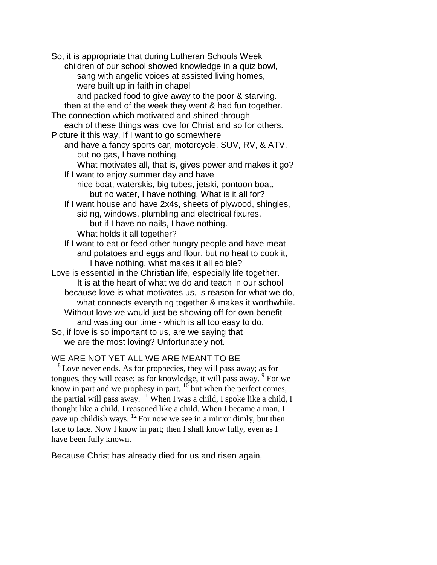So, it is appropriate that during Lutheran Schools Week children of our school showed knowledge in a quiz bowl, sang with angelic voices at assisted living homes, were built up in faith in chapel and packed food to give away to the poor & starving. then at the end of the week they went & had fun together. The connection which motivated and shined through each of these things was love for Christ and so for others. Picture it this way, If I want to go somewhere and have a fancy sports car, motorcycle, SUV, RV, & ATV, but no gas, I have nothing, What motivates all, that is, gives power and makes it go? If I want to enjoy summer day and have nice boat, waterskis, big tubes, jetski, pontoon boat, but no water, I have nothing. What is it all for? If I want house and have 2x4s, sheets of plywood, shingles, siding, windows, plumbling and electrical fixures, but if I have no nails, I have nothing. What holds it all together? If I want to eat or feed other hungry people and have meat and potatoes and eggs and flour, but no heat to cook it, I have nothing, what makes it all edible? Love is essential in the Christian life, especially life together. It is at the heart of what we do and teach in our school because love is what motivates us, is reason for what we do, what connects everything together & makes it worthwhile. Without love we would just be showing off for own benefit and wasting our time - which is all too easy to do. So, if love is so important to us, are we saying that

we are the most loving? Unfortunately not.

## WE ARE NOT YET ALL WE ARE MEANT TO BE

<sup>8</sup> Love never ends. As for prophecies, they will pass away; as for tongues, they will cease; as for knowledge, it will pass away. <sup>9</sup> For we know in part and we prophesy in part,  $\frac{10}{2}$  but when the perfect comes, the partial will pass away.  $\frac{11}{11}$  When I was a child, I spoke like a child, I thought like a child, I reasoned like a child. When I became a man, I gave up childish ways.  $^{12}$  For now we see in a mirror dimly, but then face to face. Now I know in part; then I shall know fully, even as I have been fully known.

Because Christ has already died for us and risen again,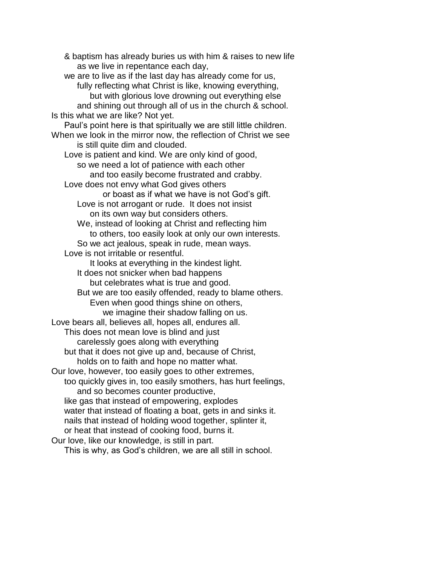& baptism has already buries us with him & raises to new life as we live in repentance each day, we are to live as if the last day has already come for us, fully reflecting what Christ is like, knowing everything, but with glorious love drowning out everything else and shining out through all of us in the church & school. Is this what we are like? Not yet. Paul's point here is that spiritually we are still little children. When we look in the mirror now, the reflection of Christ we see is still quite dim and clouded. Love is patient and kind. We are only kind of good, so we need a lot of patience with each other and too easily become frustrated and crabby. Love does not envy what God gives others or boast as if what we have is not God's gift. Love is not arrogant or rude. It does not insist on its own way but considers others. We, instead of looking at Christ and reflecting him to others, too easily look at only our own interests. So we act jealous, speak in rude, mean ways. Love is not irritable or resentful. It looks at everything in the kindest light. It does not snicker when bad happens but celebrates what is true and good. But we are too easily offended, ready to blame others. Even when good things shine on others, we imagine their shadow falling on us. Love bears all, believes all, hopes all, endures all. This does not mean love is blind and just carelessly goes along with everything but that it does not give up and, because of Christ, holds on to faith and hope no matter what. Our love, however, too easily goes to other extremes, too quickly gives in, too easily smothers, has hurt feelings, and so becomes counter productive, like gas that instead of empowering, explodes water that instead of floating a boat, gets in and sinks it. nails that instead of holding wood together, splinter it, or heat that instead of cooking food, burns it. Our love, like our knowledge, is still in part. This is why, as God's children, we are all still in school.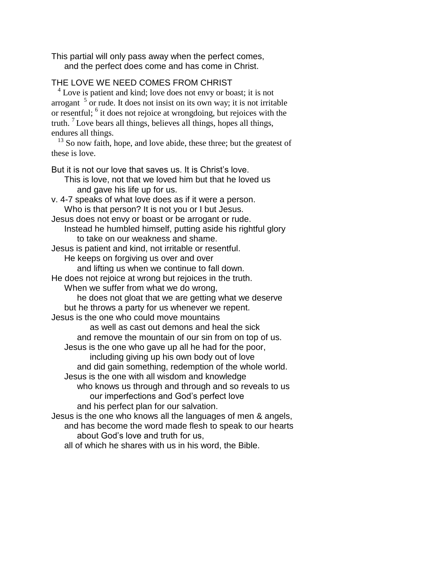This partial will only pass away when the perfect comes, and the perfect does come and has come in Christ.

## THE LOVE WE NEED COMES FROM CHRIST

<sup>4</sup> Love is patient and kind; love does not envy or boast; it is not arrogant  $5$  or rude. It does not insist on its own way; it is not irritable or resentful; <sup>6</sup> it does not rejoice at wrongdoing, but rejoices with the truth.  ${}^{7}$  Love bears all things, believes all things, hopes all things, endures all things.

 $13$  So now faith, hope, and love abide, these three; but the greatest of these is love.

But it is not our love that saves us. It is Christ's love. This is love, not that we loved him but that he loved us and gave his life up for us. v. 4-7 speaks of what love does as if it were a person. Who is that person? It is not you or I but Jesus. Jesus does not envy or boast or be arrogant or rude. Instead he humbled himself, putting aside his rightful glory to take on our weakness and shame. Jesus is patient and kind, not irritable or resentful. He keeps on forgiving us over and over and lifting us when we continue to fall down. He does not rejoice at wrong but rejoices in the truth. When we suffer from what we do wrong, he does not gloat that we are getting what we deserve but he throws a party for us whenever we repent. Jesus is the one who could move mountains as well as cast out demons and heal the sick and remove the mountain of our sin from on top of us. Jesus is the one who gave up all he had for the poor, including giving up his own body out of love and did gain something, redemption of the whole world. Jesus is the one with all wisdom and knowledge who knows us through and through and so reveals to us our imperfections and God's perfect love and his perfect plan for our salvation. Jesus is the one who knows all the languages of men & angels, and has become the word made flesh to speak to our hearts about God's love and truth for us, all of which he shares with us in his word, the Bible.